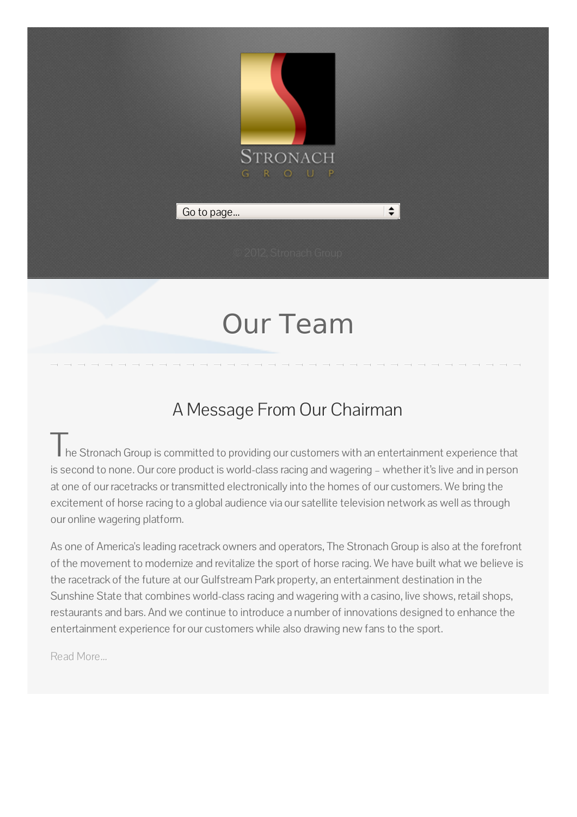

# Our Team

### A Message From Our Chairman

Ine Stronach Group is committed to providing our customers with an entertainment experience that is second to none. Our core product is world-class racing and wagering – whether it's live and in person at one of our racetracks or transmitted electronically into the homes of our customers. We bring the excitement of horse racing to a global audience via our satellite television network as well as through our online wagering platform.

As one of America's leading racetrack owners and operators, The Stronach Group is also at the forefront of the movement to modernize and revitalize the sport of horse racing. We have built what we believe is the racetrack of the future at our Gulfstream Park property, an entertainment destination in the Sunshine State that combines world-class racing and wagering with a casino, live shows, retail shops, restaurants and bars. And we continue to introduce a number of innovations designed to enhance the entertainment experience for our customers while also drawing new fans to the sport.

Read [More...](http://www.stronachgroup.com/philosophy.php#cont)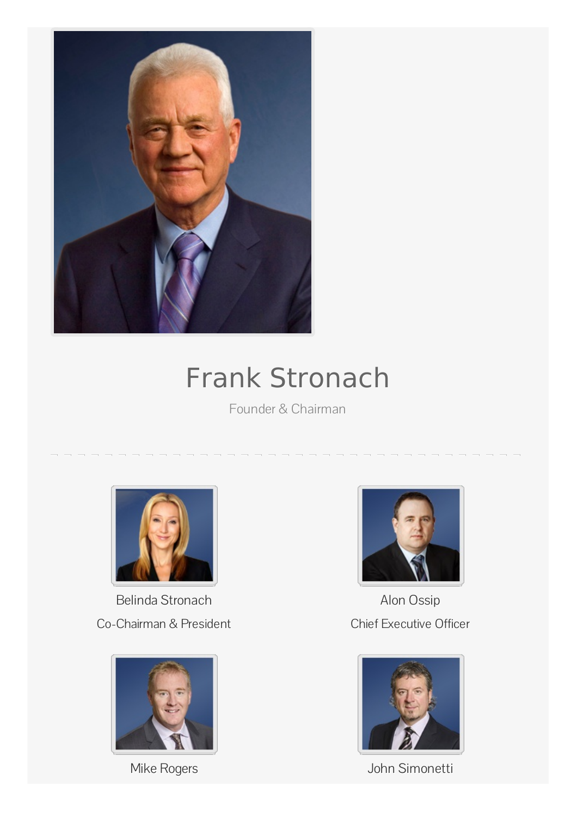

## Frank Stronach

Founder & Chairman



Belinda Stronach Co-Chairman & President





Alon Ossip Chief Executive Officer



Mike Rogers John Simonetti